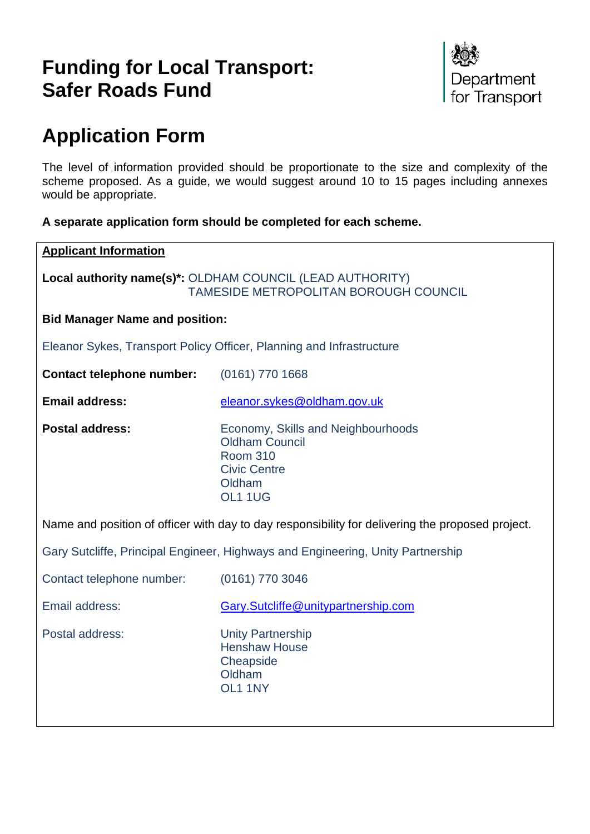# **Funding for Local Transport: Safer Roads Fund**



# **Application Form**

The level of information provided should be proportionate to the size and complexity of the scheme proposed. As a guide, we would suggest around 10 to 15 pages including annexes would be appropriate.

## **A separate application form should be completed for each scheme.**

| <b>Applicant Information</b>          |                                                                                                                            |  |
|---------------------------------------|----------------------------------------------------------------------------------------------------------------------------|--|
|                                       | Local authority name(s)*: OLDHAM COUNCIL (LEAD AUTHORITY)<br><b>TAMESIDE METROPOLITAN BOROUGH COUNCIL</b>                  |  |
| <b>Bid Manager Name and position:</b> |                                                                                                                            |  |
|                                       | Eleanor Sykes, Transport Policy Officer, Planning and Infrastructure                                                       |  |
| <b>Contact telephone number:</b>      | $(0161)$ 770 1668                                                                                                          |  |
| <b>Email address:</b>                 | eleanor.sykes@oldham.gov.uk                                                                                                |  |
| <b>Postal address:</b>                | Economy, Skills and Neighbourhoods<br><b>Oldham Council</b><br><b>Room 310</b><br><b>Civic Centre</b><br>Oldham<br>OL1 1UG |  |
|                                       | Name and position of officer with day to day responsibility for delivering the proposed project.                           |  |
|                                       | Gary Sutcliffe, Principal Engineer, Highways and Engineering, Unity Partnership                                            |  |
| Contact telephone number:             | (0161) 770 3046                                                                                                            |  |
| Email address:                        | Gary.Sutcliffe@unitypartnership.com                                                                                        |  |
| Postal address:                       | <b>Unity Partnership</b><br><b>Henshaw House</b><br>Cheapside<br>Oldham<br>OL1 1NY                                         |  |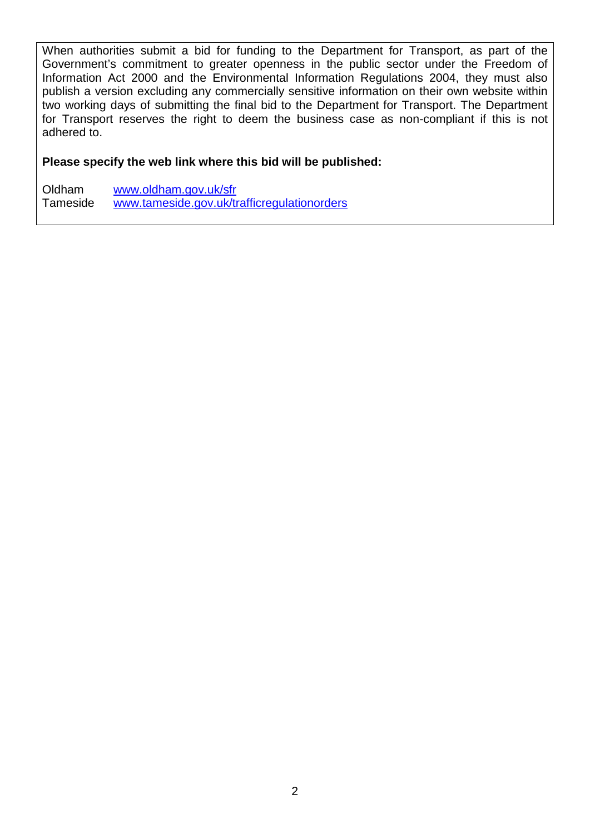When authorities submit a bid for funding to the Department for Transport, as part of the Government's commitment to greater openness in the public sector under the Freedom of Information Act 2000 and the Environmental Information Regulations 2004, they must also publish a version excluding any commercially sensitive information on their own website within two working days of submitting the final bid to the Department for Transport. The Department for Transport reserves the right to deem the business case as non-compliant if this is not adhered to.

#### **Please specify the web link where this bid will be published:**

Oldham [www.oldham.gov.uk/sfr](http://www.oldham.gov.uk/sfr) Tameside [www.tameside.gov.uk/trafficregulationorders](http://www.tameside.gov.uk/trafficregulationorders)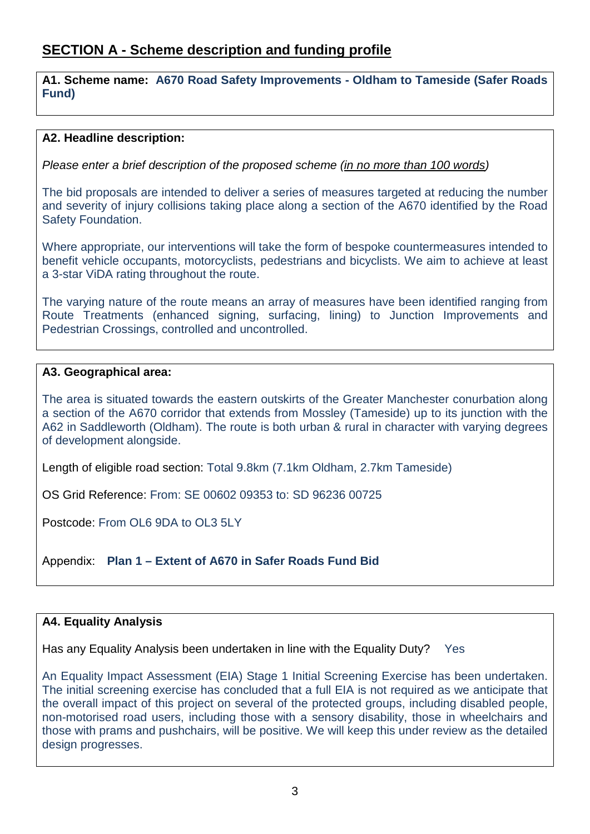# **SECTION A - Scheme description and funding profile**

**A1. Scheme name: A670 Road Safety Improvements - Oldham to Tameside (Safer Roads Fund)**

#### **A2. Headline description:**

*Please enter a brief description of the proposed scheme (in no more than 100 words)*

The bid proposals are intended to deliver a series of measures targeted at reducing the number and severity of injury collisions taking place along a section of the A670 identified by the Road Safety Foundation.

Where appropriate, our interventions will take the form of bespoke countermeasures intended to benefit vehicle occupants, motorcyclists, pedestrians and bicyclists. We aim to achieve at least a 3-star ViDA rating throughout the route.

The varying nature of the route means an array of measures have been identified ranging from Route Treatments (enhanced signing, surfacing, lining) to Junction Improvements and Pedestrian Crossings, controlled and uncontrolled.

### **A3. Geographical area:**

The area is situated towards the eastern outskirts of the Greater Manchester conurbation along a section of the A670 corridor that extends from Mossley (Tameside) up to its junction with the A62 in Saddleworth (Oldham). The route is both urban & rural in character with varying degrees of development alongside.

Length of eligible road section: Total 9.8km (7.1km Oldham, 2.7km Tameside)

OS Grid Reference: From: SE 00602 09353 to: SD 96236 00725

Postcode: From OL6 9DA to OL3 5LY

Appendix: **Plan 1 – Extent of A670 in Safer Roads Fund Bid**

### **A4. Equality Analysis**

Has any Equality Analysis been undertaken in line with the Equality Duty? Yes

An Equality Impact Assessment (EIA) Stage 1 Initial Screening Exercise has been undertaken. The initial screening exercise has concluded that a full EIA is not required as we anticipate that the overall impact of this project on several of the protected groups, including disabled people, non-motorised road users, including those with a sensory disability, those in wheelchairs and those with prams and pushchairs, will be positive. We will keep this under review as the detailed design progresses.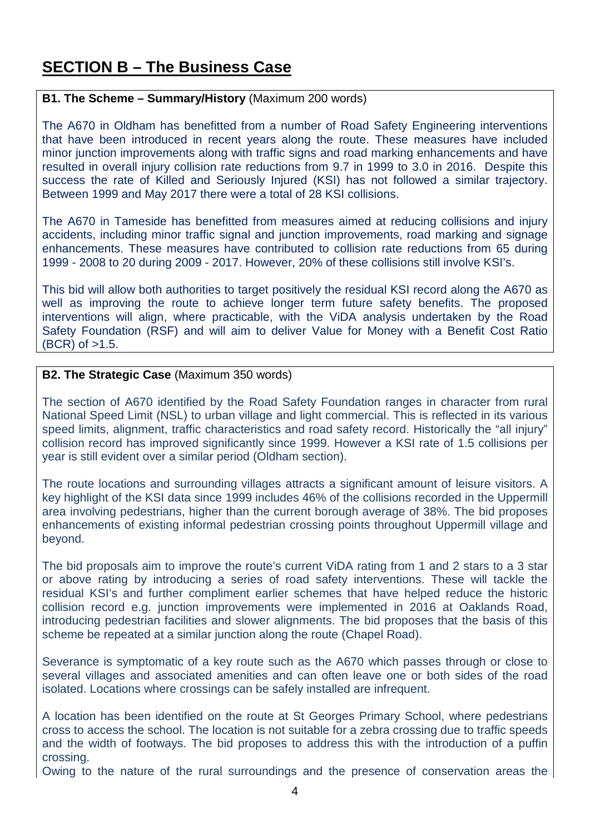# **SECTION B – The Business Case**

#### **B1. The Scheme – Summary/History** (Maximum 200 words)

The A670 in Oldham has benefitted from a number of Road Safety Engineering interventions that have been introduced in recent years along the route. These measures have included minor junction improvements along with traffic signs and road marking enhancements and have resulted in overall injury collision rate reductions from 9.7 in 1999 to 3.0 in 2016. Despite this success the rate of Killed and Seriously Injured (KSI) has not followed a similar trajectory. Between 1999 and May 2017 there were a total of 28 KSI collisions.

The A670 in Tameside has benefitted from measures aimed at reducing collisions and injury accidents, including minor traffic signal and junction improvements, road marking and signage enhancements. These measures have contributed to collision rate reductions from 65 during 1999 - 2008 to 20 during 2009 - 2017. However, 20% of these collisions still involve KSI's.

This bid will allow both authorities to target positively the residual KSI record along the A670 as well as improving the route to achieve longer term future safety benefits. The proposed interventions will align, where practicable, with the ViDA analysis undertaken by the Road Safety Foundation (RSF) and will aim to deliver Value for Money with a Benefit Cost Ratio  $(BCR)$  of  $>1.5$ .

#### **B2. The Strategic Case** (Maximum 350 words)

The section of A670 identified by the Road Safety Foundation ranges in character from rural National Speed Limit (NSL) to urban village and light commercial. This is reflected in its various speed limits, alignment, traffic characteristics and road safety record. Historically the "all injury" collision record has improved significantly since 1999. However a KSI rate of 1.5 collisions per year is still evident over a similar period (Oldham section).

The route locations and surrounding villages attracts a significant amount of leisure visitors. A key highlight of the KSI data since 1999 includes 46% of the collisions recorded in the Uppermill area involving pedestrians, higher than the current borough average of 38%. The bid proposes enhancements of existing informal pedestrian crossing points throughout Uppermill village and beyond.

The bid proposals aim to improve the route's current ViDA rating from 1 and 2 stars to a 3 star or above rating by introducing a series of road safety interventions. These will tackle the residual KSI's and further compliment earlier schemes that have helped reduce the historic collision record e.g. junction improvements were implemented in 2016 at Oaklands Road, introducing pedestrian facilities and slower alignments. The bid proposes that the basis of this scheme be repeated at a similar junction along the route (Chapel Road).

Severance is symptomatic of a key route such as the A670 which passes through or close to several villages and associated amenities and can often leave one or both sides of the road isolated. Locations where crossings can be safely installed are infrequent.

A location has been identified on the route at St Georges Primary School, where pedestrians cross to access the school. The location is not suitable for a zebra crossing due to traffic speeds and the width of footways. The bid proposes to address this with the introduction of a puffin crossing.

Owing to the nature of the rural surroundings and the presence of conservation areas the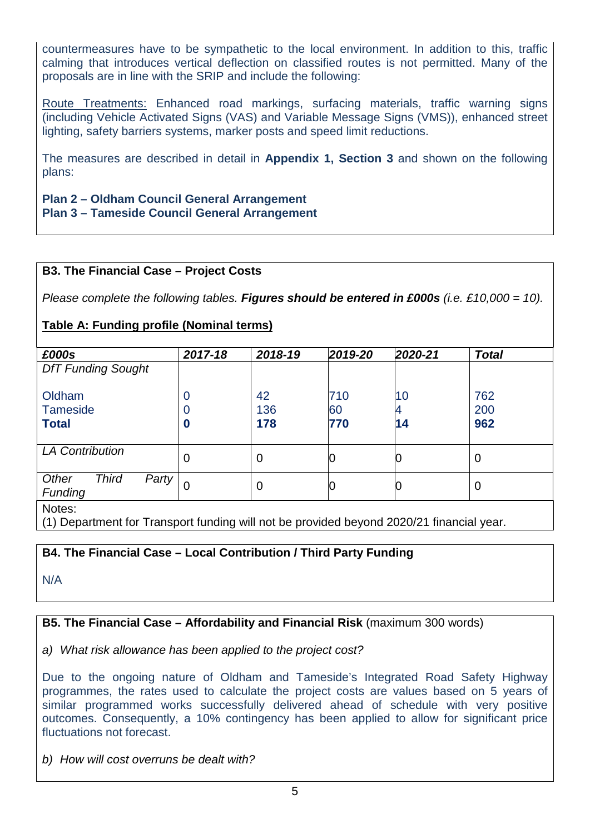countermeasures have to be sympathetic to the local environment. In addition to this, traffic calming that introduces vertical deflection on classified routes is not permitted. Many of the proposals are in line with the SRIP and include the following:

Route Treatments: Enhanced road markings, surfacing materials, traffic warning signs (including Vehicle Activated Signs (VAS) and Variable Message Signs (VMS)), enhanced street lighting, safety barriers systems, marker posts and speed limit reductions.

The measures are described in detail in **Appendix 1, Section 3** and shown on the following plans:

**Plan 2 – Oldham Council General Arrangement Plan 3 – Tameside Council General Arrangement**

#### **B3. The Financial Case – Project Costs**

*Please complete the following tables. Figures should be entered in £000s (i.e. £10,000 = 10).*

# **Table A: Funding profile (Nominal terms)**

| £000s                                            | 2017-18     | 2018-19          | 2019-20          | 2020-21       | <b>Total</b>      |
|--------------------------------------------------|-------------|------------------|------------------|---------------|-------------------|
| <b>DfT Funding Sought</b>                        |             |                  |                  |               |                   |
| Oldham<br><b>Tameside</b><br><b>Total</b>        | 0<br>0<br>0 | 42<br>136<br>178 | 710<br>60<br>770 | 10<br>4<br>14 | 762<br>200<br>962 |
| <b>LA Contribution</b>                           | 0           | 0                | lU               | U             | 0                 |
| Other<br><b>Third</b><br>Party<br><b>Funding</b> | 0           | $\mathbf 0$      |                  |               | $\mathbf 0$       |
| $\sim$ $\sim$ $\sim$                             |             |                  |                  |               |                   |

Notes:

(1) Department for Transport funding will not be provided beyond 2020/21 financial year.

### **B4. The Financial Case – Local Contribution / Third Party Funding**

N/A

### **B5. The Financial Case – Affordability and Financial Risk** (maximum 300 words)

*a) What risk allowance has been applied to the project cost?*

Due to the ongoing nature of Oldham and Tameside's Integrated Road Safety Highway programmes, the rates used to calculate the project costs are values based on 5 years of similar programmed works successfully delivered ahead of schedule with very positive outcomes. Consequently, a 10% contingency has been applied to allow for significant price fluctuations not forecast.

*b) How will cost overruns be dealt with?*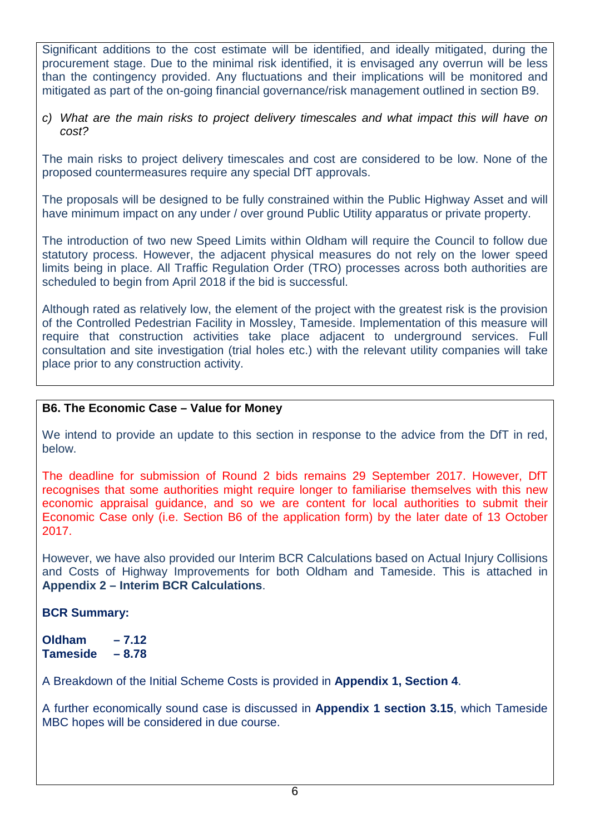Significant additions to the cost estimate will be identified, and ideally mitigated, during the procurement stage. Due to the minimal risk identified, it is envisaged any overrun will be less than the contingency provided. Any fluctuations and their implications will be monitored and mitigated as part of the on-going financial governance/risk management outlined in section B9.

*c) What are the main risks to project delivery timescales and what impact this will have on cost?*

The main risks to project delivery timescales and cost are considered to be low. None of the proposed countermeasures require any special DfT approvals.

The proposals will be designed to be fully constrained within the Public Highway Asset and will have minimum impact on any under / over ground Public Utility apparatus or private property.

The introduction of two new Speed Limits within Oldham will require the Council to follow due statutory process. However, the adjacent physical measures do not rely on the lower speed limits being in place. All Traffic Regulation Order (TRO) processes across both authorities are scheduled to begin from April 2018 if the bid is successful.

Although rated as relatively low, the element of the project with the greatest risk is the provision of the Controlled Pedestrian Facility in Mossley, Tameside. Implementation of this measure will require that construction activities take place adjacent to underground services. Full consultation and site investigation (trial holes etc.) with the relevant utility companies will take place prior to any construction activity.

### **B6. The Economic Case – Value for Money**

We intend to provide an update to this section in response to the advice from the DfT in red, below.

The deadline for submission of Round 2 bids remains 29 September 2017. However, DfT recognises that some authorities might require longer to familiarise themselves with this new economic appraisal guidance, and so we are content for local authorities to submit their Economic Case only (i.e. Section B6 of the application form) by the later date of 13 October 2017.

However, we have also provided our Interim BCR Calculations based on Actual Injury Collisions and Costs of Highway Improvements for both Oldham and Tameside. This is attached in **Appendix 2 – Interim BCR Calculations**.

### **BCR Summary:**

**Oldham – 7.12 Tameside – 8.78**

A Breakdown of the Initial Scheme Costs is provided in **Appendix 1, Section 4**.

A further economically sound case is discussed in **Appendix 1 section 3.15**, which Tameside MBC hopes will be considered in due course.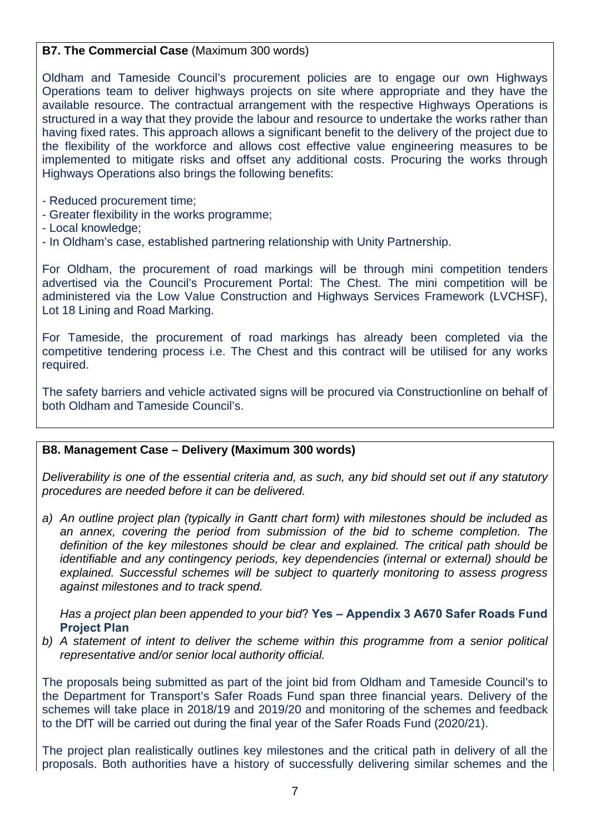## **B7. The Commercial Case** (Maximum 300 words)

Oldham and Tameside Council's procurement policies are to engage our own Highways Operations team to deliver highways projects on site where appropriate and they have the available resource. The contractual arrangement with the respective Highways Operations is structured in a way that they provide the labour and resource to undertake the works rather than having fixed rates. This approach allows a significant benefit to the delivery of the project due to the flexibility of the workforce and allows cost effective value engineering measures to be implemented to mitigate risks and offset any additional costs. Procuring the works through Highways Operations also brings the following benefits:

- Reduced procurement time;
- Greater flexibility in the works programme;
- Local knowledge;
- In Oldham's case, established partnering relationship with Unity Partnership.

For Oldham, the procurement of road markings will be through mini competition tenders advertised via the Council's Procurement Portal: The Chest. The mini competition will be administered via the Low Value Construction and Highways Services Framework (LVCHSF), Lot 18 Lining and Road Marking.

For Tameside, the procurement of road markings has already been completed via the competitive tendering process i.e. The Chest and this contract will be utilised for any works required.

The safety barriers and vehicle activated signs will be procured via Constructionline on behalf of both Oldham and Tameside Council's.

### **B8. Management Case – Delivery (Maximum 300 words)**

*Deliverability is one of the essential criteria and, as such, any bid should set out if any statutory procedures are needed before it can be delivered.* 

*a) An outline project plan (typically in Gantt chart form) with milestones should be included as an annex, covering the period from submission of the bid to scheme completion. The definition of the key milestones should be clear and explained. The critical path should be identifiable and any contingency periods, key dependencies (internal or external) should be explained. Successful schemes will be subject to quarterly monitoring to assess progress against milestones and to track spend.*

*Has a project plan been appended to your bid*? **Yes – Appendix 3 A670 Safer Roads Fund Project Plan**

*b) A statement of intent to deliver the scheme within this programme from a senior political representative and/or senior local authority official.*

The proposals being submitted as part of the joint bid from Oldham and Tameside Council's to the Department for Transport's Safer Roads Fund span three financial years. Delivery of the schemes will take place in 2018/19 and 2019/20 and monitoring of the schemes and feedback to the DfT will be carried out during the final year of the Safer Roads Fund (2020/21).

The project plan realistically outlines key milestones and the critical path in delivery of all the proposals. Both authorities have a history of successfully delivering similar schemes and the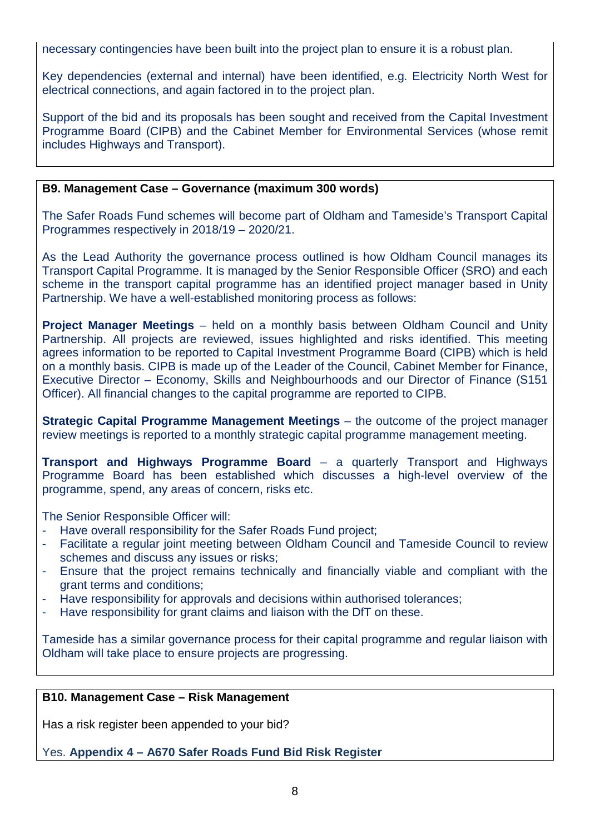necessary contingencies have been built into the project plan to ensure it is a robust plan.

Key dependencies (external and internal) have been identified, e.g. Electricity North West for electrical connections, and again factored in to the project plan.

Support of the bid and its proposals has been sought and received from the Capital Investment Programme Board (CIPB) and the Cabinet Member for Environmental Services (whose remit includes Highways and Transport).

#### **B9. Management Case – Governance (maximum 300 words)**

The Safer Roads Fund schemes will become part of Oldham and Tameside's Transport Capital Programmes respectively in 2018/19 – 2020/21.

As the Lead Authority the governance process outlined is how Oldham Council manages its Transport Capital Programme. It is managed by the Senior Responsible Officer (SRO) and each scheme in the transport capital programme has an identified project manager based in Unity Partnership. We have a well-established monitoring process as follows:

**Project Manager Meetings** – held on a monthly basis between Oldham Council and Unity Partnership. All projects are reviewed, issues highlighted and risks identified. This meeting agrees information to be reported to Capital Investment Programme Board (CIPB) which is held on a monthly basis. CIPB is made up of the Leader of the Council, Cabinet Member for Finance, Executive Director – Economy, Skills and Neighbourhoods and our Director of Finance (S151 Officer). All financial changes to the capital programme are reported to CIPB.

**Strategic Capital Programme Management Meetings** – the outcome of the project manager review meetings is reported to a monthly strategic capital programme management meeting.

**Transport and Highways Programme Board** – a quarterly Transport and Highways Programme Board has been established which discusses a high-level overview of the programme, spend, any areas of concern, risks etc.

The Senior Responsible Officer will:

- Have overall responsibility for the Safer Roads Fund project;
- Facilitate a regular joint meeting between Oldham Council and Tameside Council to review schemes and discuss any issues or risks;
- Ensure that the project remains technically and financially viable and compliant with the grant terms and conditions;
- Have responsibility for approvals and decisions within authorised tolerances;
- Have responsibility for grant claims and liaison with the DfT on these.

Tameside has a similar governance process for their capital programme and regular liaison with Oldham will take place to ensure projects are progressing.

#### **B10. Management Case – Risk Management**

Has a risk register been appended to your bid?

Yes. **Appendix 4 – A670 Safer Roads Fund Bid Risk Register**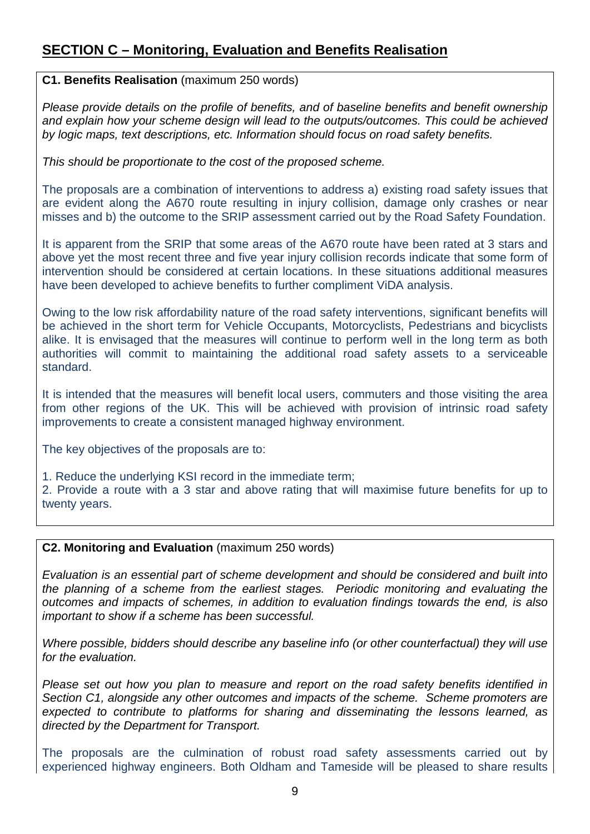# **SECTION C – Monitoring, Evaluation and Benefits Realisation**

#### **C1. Benefits Realisation** (maximum 250 words)

*Please provide details on the profile of benefits, and of baseline benefits and benefit ownership and explain how your scheme design will lead to the outputs/outcomes. This could be achieved by logic maps, text descriptions, etc. Information should focus on road safety benefits.*

*This should be proportionate to the cost of the proposed scheme.*

The proposals are a combination of interventions to address a) existing road safety issues that are evident along the A670 route resulting in injury collision, damage only crashes or near misses and b) the outcome to the SRIP assessment carried out by the Road Safety Foundation.

It is apparent from the SRIP that some areas of the A670 route have been rated at 3 stars and above yet the most recent three and five year injury collision records indicate that some form of intervention should be considered at certain locations. In these situations additional measures have been developed to achieve benefits to further compliment ViDA analysis.

Owing to the low risk affordability nature of the road safety interventions, significant benefits will be achieved in the short term for Vehicle Occupants, Motorcyclists, Pedestrians and bicyclists alike. It is envisaged that the measures will continue to perform well in the long term as both authorities will commit to maintaining the additional road safety assets to a serviceable standard.

It is intended that the measures will benefit local users, commuters and those visiting the area from other regions of the UK. This will be achieved with provision of intrinsic road safety improvements to create a consistent managed highway environment.

The key objectives of the proposals are to:

1. Reduce the underlying KSI record in the immediate term;

2. Provide a route with a 3 star and above rating that will maximise future benefits for up to twenty years.

### **C2. Monitoring and Evaluation** (maximum 250 words)

*Evaluation is an essential part of scheme development and should be considered and built into the planning of a scheme from the earliest stages. Periodic monitoring and evaluating the outcomes and impacts of schemes, in addition to evaluation findings towards the end, is also important to show if a scheme has been successful.* 

*Where possible, bidders should describe any baseline info (or other counterfactual) they will use for the evaluation.*

*Please set out how you plan to measure and report on the road safety benefits identified in Section C1, alongside any other outcomes and impacts of the scheme. Scheme promoters are expected to contribute to platforms for sharing and disseminating the lessons learned, as directed by the Department for Transport.*

The proposals are the culmination of robust road safety assessments carried out by experienced highway engineers. Both Oldham and Tameside will be pleased to share results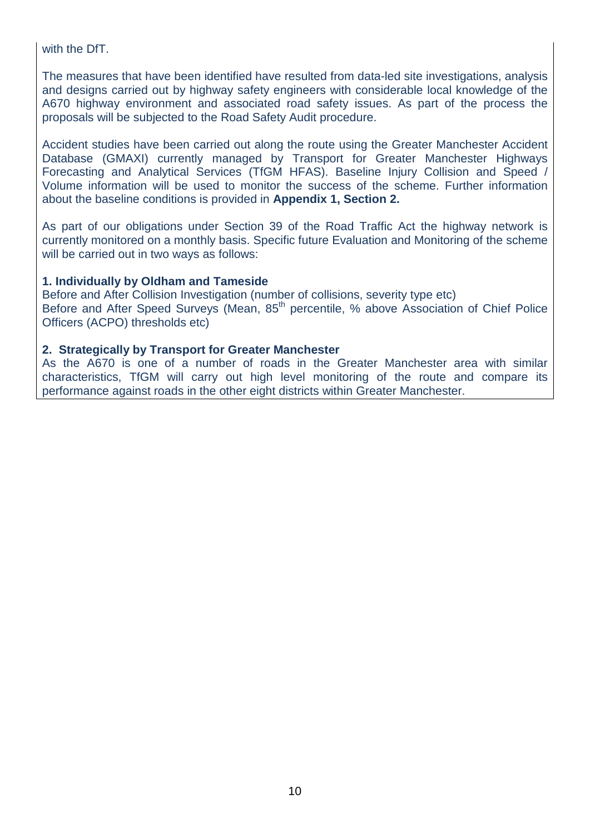with the DfT.

The measures that have been identified have resulted from data-led site investigations, analysis and designs carried out by highway safety engineers with considerable local knowledge of the A670 highway environment and associated road safety issues. As part of the process the proposals will be subjected to the Road Safety Audit procedure.

Accident studies have been carried out along the route using the Greater Manchester Accident Database (GMAXI) currently managed by Transport for Greater Manchester Highways Forecasting and Analytical Services (TfGM HFAS). Baseline Injury Collision and Speed / Volume information will be used to monitor the success of the scheme. Further information about the baseline conditions is provided in **Appendix 1, Section 2.**

As part of our obligations under Section 39 of the Road Traffic Act the highway network is currently monitored on a monthly basis. Specific future Evaluation and Monitoring of the scheme will be carried out in two ways as follows:

#### **1. Individually by Oldham and Tameside**

Before and After Collision Investigation (number of collisions, severity type etc) Before and After Speed Surveys (Mean, 85<sup>th</sup> percentile, % above Association of Chief Police Officers (ACPO) thresholds etc)

#### **2. Strategically by Transport for Greater Manchester**

As the A670 is one of a number of roads in the Greater Manchester area with similar characteristics, TfGM will carry out high level monitoring of the route and compare its performance against roads in the other eight districts within Greater Manchester.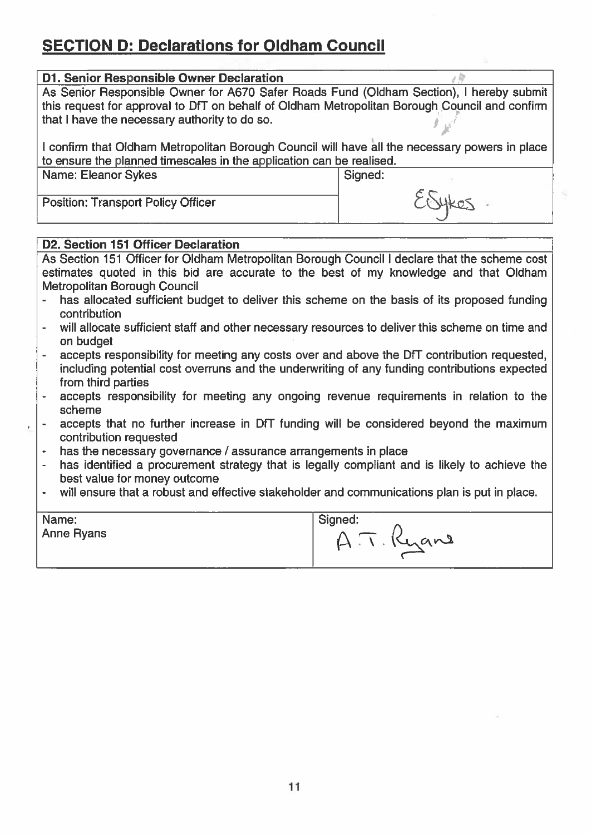# **SECTION D: Declarations for Oldham Council**

| <b>D1. Senior Responsible Owner Declaration</b>                                                                                                                        |         |
|------------------------------------------------------------------------------------------------------------------------------------------------------------------------|---------|
| As Senior Responsible Owner for A670 Safer Roads Fund (Oldham Section), I hereby submit                                                                                |         |
| this request for approval to DfT on behalf of Oldham Metropolitan Borough Council and confirm<br>that I have the necessary authority to do so.                         |         |
| I confirm that Oldham Metropolitan Borough Council will have all the necessary powers in place<br>to ensure the planned timescales in the application can be realised. |         |
| Name: Eleanor Sykes                                                                                                                                                    | Signed: |
|                                                                                                                                                                        |         |
| <b>Position: Transport Policy Officer</b>                                                                                                                              | ESYKES  |
|                                                                                                                                                                        |         |
| D2. Section 151 Officer Declaration                                                                                                                                    |         |
|                                                                                                                                                                        |         |

| As Section 151 Officer for Oldham Metropolitan Borough Council I declare that the scheme cost |  |
|-----------------------------------------------------------------------------------------------|--|
| estimates quoted in this bid are accurate to the best of my knowledge and that Oldham         |  |
| Metropolitan Borough Council                                                                  |  |

- has allocated sufficient budget to deliver this scheme on the basis of its proposed funding  $\overline{\phantom{a}}$ contribution
- will allocate sufficient staff and other necessary resources to deliver this scheme on time and  $\overline{\phantom{a}}$ on budget
- accepts responsibility for meeting any costs over and above the DfT contribution requested.  $\ddot{\phantom{a}}$ including potential cost overruns and the underwriting of any funding contributions expected from third parties
- accepts responsibility for meeting any ongoing revenue requirements in relation to the  $\overline{\phantom{a}}$ scheme
- accepts that no further increase in DfT funding will be considered beyond the maximum  $\sim$ contribution requested
- has the necessary governance / assurance arrangements in place  $\bar{\star}$
- has identified a procurement strategy that is legally compliant and is likely to achieve the  $\blacksquare$ best value for money outcome
- will ensure that a robust and effective stakeholder and communications plan is put in place.  $\Box$

| Name:             | Signed: |
|-------------------|---------|
| <b>Anne Ryans</b> | Kyane   |